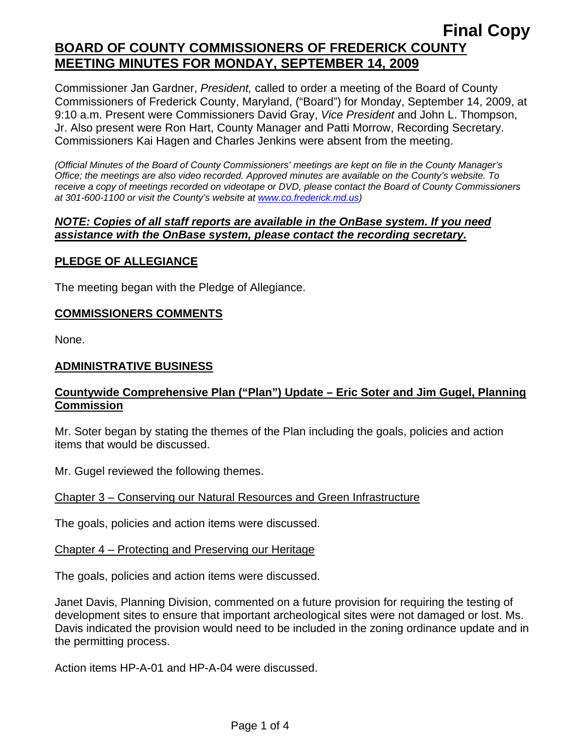Commissioner Jan Gardner, *President,* called to order a meeting of the Board of County Commissioners of Frederick County, Maryland, ("Board") for Monday, September 14, 2009, at 9:10 a.m. Present were Commissioners David Gray, *Vice President* and John L. Thompson, Jr. Also present were Ron Hart, County Manager and Patti Morrow, Recording Secretary. Commissioners Kai Hagen and Charles Jenkins were absent from the meeting.

*(Official Minutes of the Board of County Commissioners' meetings are kept on file in the County Manager's Office; the meetings are also video recorded. Approved minutes are available on the County's website. To receive a copy of meetings recorded on videotape or DVD, please contact the Board of County Commissioners at 301-600-1100 or visit the County's website at [www.co.frederick.md.us\)](http://www.co.frederick.md.us/)* 

#### *NOTE: Copies of all staff reports are available in the OnBase system. If you need assistance with the OnBase system, please contact the recording secretary.*

## **PLEDGE OF ALLEGIANCE**

The meeting began with the Pledge of Allegiance.

## **COMMISSIONERS COMMENTS**

None.

## **ADMINISTRATIVE BUSINESS**

### **Countywide Comprehensive Plan ("Plan") Update – Eric Soter and Jim Gugel, Planning Commission**

Mr. Soter began by stating the themes of the Plan including the goals, policies and action items that would be discussed.

Mr. Gugel reviewed the following themes.

### Chapter 3 – Conserving our Natural Resources and Green Infrastructure

The goals, policies and action items were discussed.

### Chapter 4 – Protecting and Preserving our Heritage

The goals, policies and action items were discussed.

Janet Davis, Planning Division, commented on a future provision for requiring the testing of development sites to ensure that important archeological sites were not damaged or lost. Ms. Davis indicated the provision would need to be included in the zoning ordinance update and in the permitting process.

Action items HP-A-01 and HP-A-04 were discussed.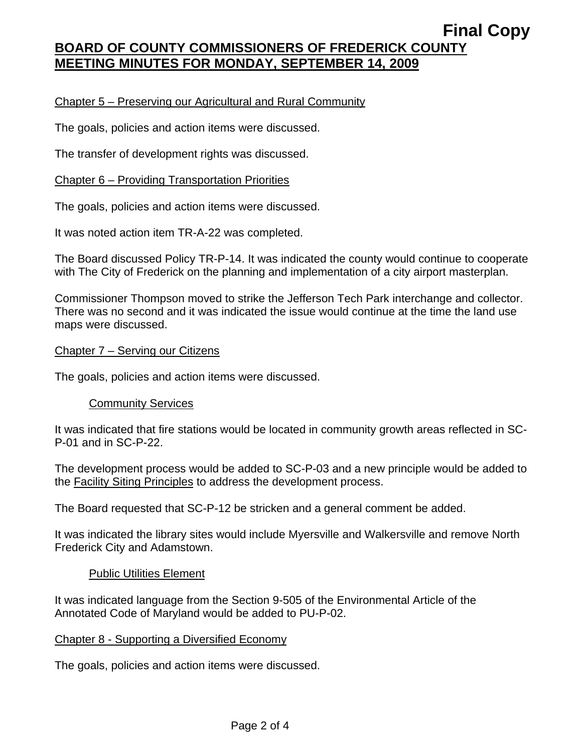## Chapter 5 – Preserving our Agricultural and Rural Community

The goals, policies and action items were discussed.

The transfer of development rights was discussed.

### Chapter 6 – Providing Transportation Priorities

The goals, policies and action items were discussed.

It was noted action item TR-A-22 was completed.

The Board discussed Policy TR-P-14. It was indicated the county would continue to cooperate with The City of Frederick on the planning and implementation of a city airport masterplan.

Commissioner Thompson moved to strike the Jefferson Tech Park interchange and collector. There was no second and it was indicated the issue would continue at the time the land use maps were discussed.

#### Chapter 7 – Serving our Citizens

The goals, policies and action items were discussed.

### Community Services

It was indicated that fire stations would be located in community growth areas reflected in SC-P-01 and in SC-P-22.

The development process would be added to SC-P-03 and a new principle would be added to the Facility Siting Principles to address the development process.

The Board requested that SC-P-12 be stricken and a general comment be added.

It was indicated the library sites would include Myersville and Walkersville and remove North Frederick City and Adamstown.

### Public Utilities Element

It was indicated language from the Section 9-505 of the Environmental Article of the Annotated Code of Maryland would be added to PU-P-02.

### Chapter 8 - Supporting a Diversified Economy

The goals, policies and action items were discussed.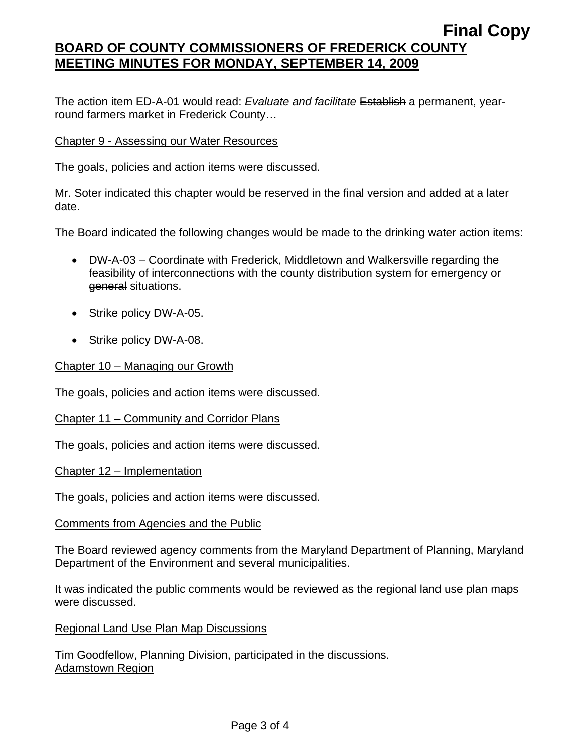The action item ED-A-01 would read: *Evaluate and facilitate* Establish a permanent, yearround farmers market in Frederick County…

#### Chapter 9 - Assessing our Water Resources

The goals, policies and action items were discussed.

Mr. Soter indicated this chapter would be reserved in the final version and added at a later date.

The Board indicated the following changes would be made to the drinking water action items:

- DW-A-03 Coordinate with Frederick, Middletown and Walkersville regarding the feasibility of interconnections with the county distribution system for emergency or general situations.
- Strike policy DW-A-05.
- Strike policy DW-A-08.

#### Chapter 10 – Managing our Growth

The goals, policies and action items were discussed.

#### Chapter 11 – Community and Corridor Plans

The goals, policies and action items were discussed.

Chapter 12 – Implementation

The goals, policies and action items were discussed.

#### Comments from Agencies and the Public

The Board reviewed agency comments from the Maryland Department of Planning, Maryland Department of the Environment and several municipalities.

It was indicated the public comments would be reviewed as the regional land use plan maps were discussed.

#### Regional Land Use Plan Map Discussions

Tim Goodfellow, Planning Division, participated in the discussions. Adamstown Region